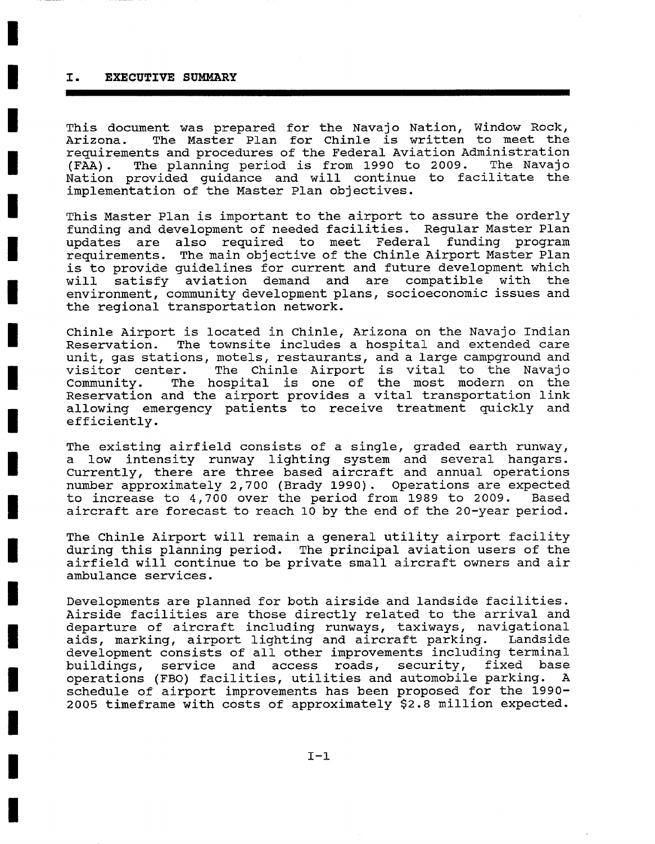## **I. EXECUTIVE SUMMARY**

This document was prepared for the Navajo Nation, Window Rock, Arizona. The Master Plan for Chinle is written to meet the requirements and procedures of the Federal Aviation Administration (FAA). The planning period is from 1990 to 2009. The Navajo Nation provided guidance and will continue to facilitate the implementation of the Master Plan objectives.

This Master Plan is important to the airport to assure the orderly funding and development of needed facilities. Regular Master Plan updates are also required to meet Federal funding program requirements. The main objective of the Chinle Airport Master Plan is to provide guidelines for current and future development which will satisfy aviation demand and are compatible with the environment, community development plans, socioeconomic issues and the regional transportation network.

Chinle Airport is located in Chinle, Arizona on the Navajo Indian Reservation. The townsite includes a hospital and extended care unit, gas stations, motels, restaurants, and a large campground and visitor center. The Chinle Airport is vital to the Navajo Community. The hospital is one of the most modern on the Reservation and the airport provides a vital transportation link allowing emergency patients to receive treatment quickly and efficiently.

The existing airfield consists of a single, graded earth runway, a low intensity runway lighting system and several hangars. Currently, there are three based aircraft and annual operations number approximately 2,700 (Brady 1990). Operations are expected to increase to 4,700 over the period from 1989 to 2009. Based aircraft are forecast to reach i0 by the end of the 20-year period.

The Chinle Airport will remain a general utility airport facility during this planning period. The principal aviation users of the airfield will continue to be private small aircraft owners and air ambulance services.

Developments are planned for both airside and landside facilities. Airside facilities are those directly related to the arrival and departure of aircraft including runways, taxiways, navigational aids, marking, airport lighting and aircraft parking. Landside development consists of all other improvements including terminal buildings, service and access roads, security, fixed base operations (FBO) facilities, utilities and automobile parking. A schedule of airport improvements has been proposed for the 1990- 2005 timeframe with costs of approximately \$2.8 million expected.